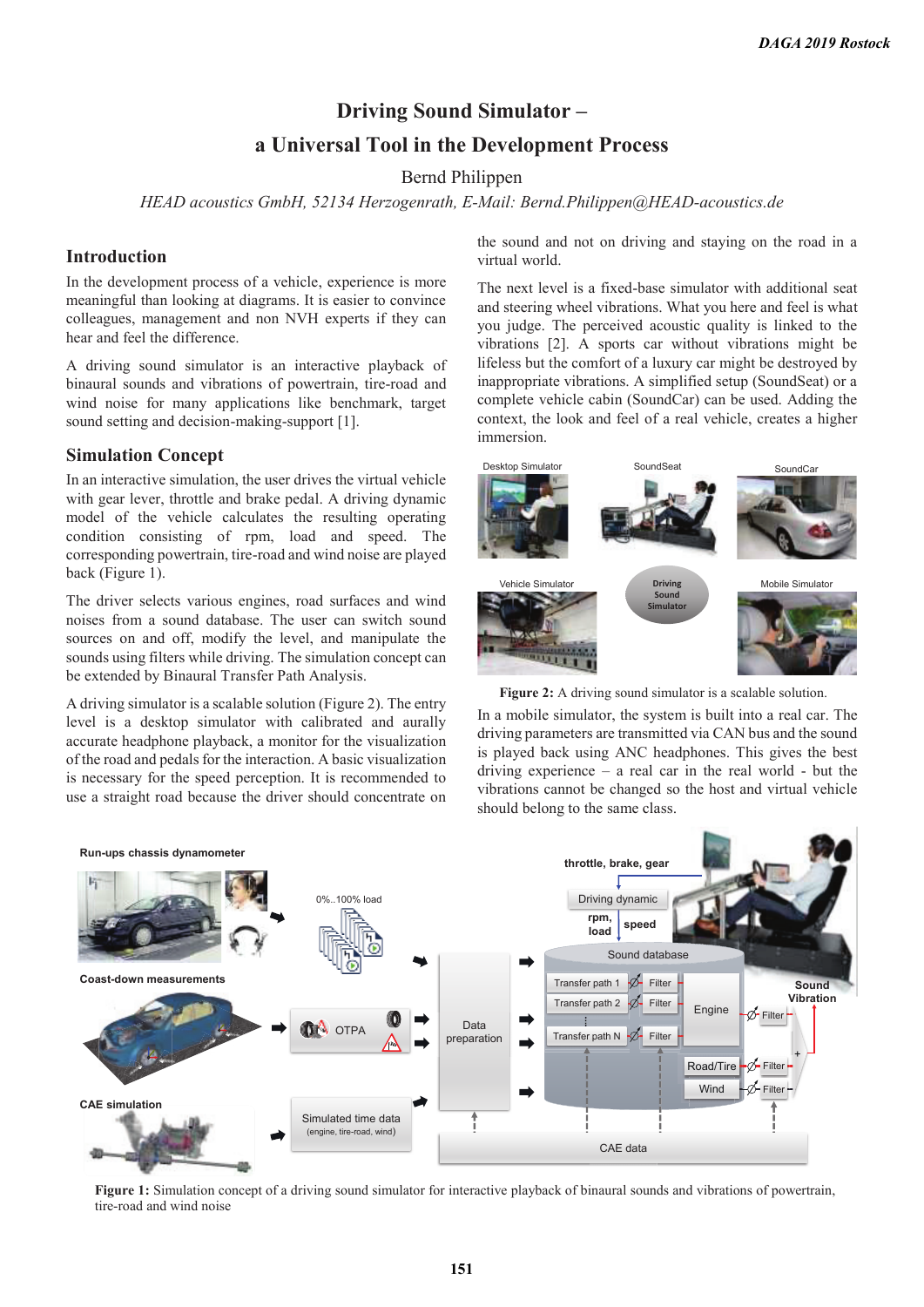# **Driving Sound Simulator –**

# **a Universal Tool in the Development Process**

Bernd Philippen

*HEAD acoustics GmbH, 52134 Herzogenrath, E-Mail: Bernd.Philippen@HEAD-acoustics.de* 

### **Introduction**

In the development process of a vehicle, experience is more meaningful than looking at diagrams. It is easier to convince colleagues, management and non NVH experts if they can hear and feel the difference.

A driving sound simulator is an interactive playback of binaural sounds and vibrations of powertrain, tire-road and wind noise for many applications like benchmark, target sound setting and decision-making-support [1].

### **Simulation Concept**

In an interactive simulation, the user drives the virtual vehicle with gear lever, throttle and brake pedal. A driving dynamic model of the vehicle calculates the resulting operating condition consisting of rpm, load and speed. The corresponding powertrain, tire-road and wind noise are played back (Figure 1).

The driver selects various engines, road surfaces and wind noises from a sound database. The user can switch sound sources on and off, modify the level, and manipulate the sounds using filters while driving. The simulation concept can be extended by Binaural Transfer Path Analysis.

A driving simulator is a scalable solution (Figure 2). The entry level is a desktop simulator with calibrated and aurally accurate headphone playback, a monitor for the visualization of the road and pedals for the interaction. A basic visualization is necessary for the speed perception. It is recommended to use a straight road because the driver should concentrate on

the sound and not on driving and staying on the road in a virtual world.

The next level is a fixed-base simulator with additional seat and steering wheel vibrations. What you here and feel is what you judge. The perceived acoustic quality is linked to the vibrations [2]. A sports car without vibrations might be lifeless but the comfort of a luxury car might be destroyed by inappropriate vibrations. A simplified setup (SoundSeat) or a complete vehicle cabin (SoundCar) can be used. Adding the context, the look and feel of a real vehicle, creates a higher immersion.



Figure 2: A driving sound simulator is a scalable solution.

In a mobile simulator, the system is built into a real car. The driving parameters are transmitted via CAN bus and the sound is played back using ANC headphones. This gives the best driving experience  $-$  a real car in the real world  $-$  but the vibrations cannot be changed so the host and virtual vehicle should belong to the same class.



**Figure 1:** Simulation concept of a driving sound simulator for interactive playback of binaural sounds and vibrations of powertrain, tire-road and wind noise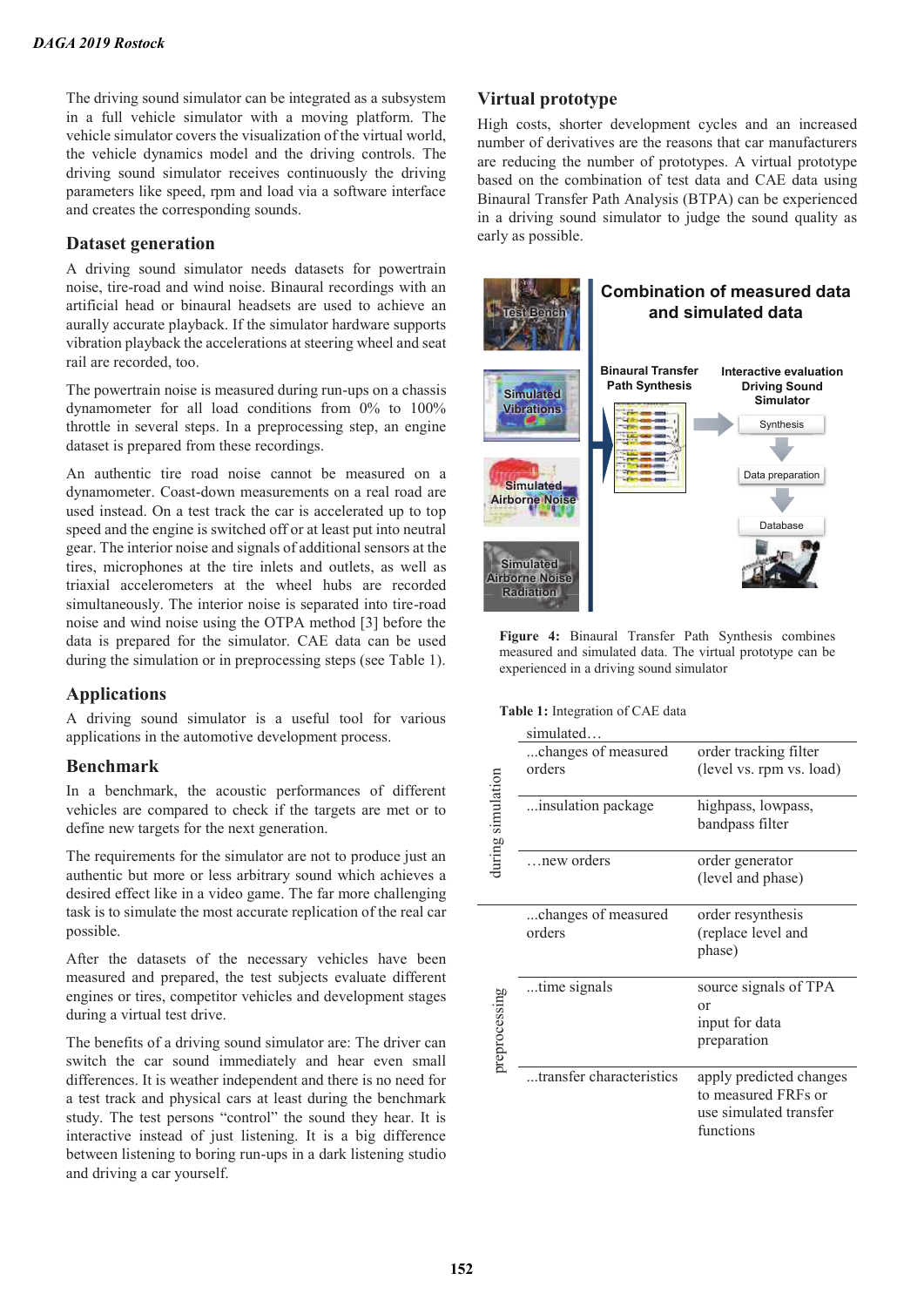The driving sound simulator can be integrated as a subsystem in a full vehicle simulator with a moving platform. The vehicle simulator covers the visualization of the virtual world, the vehicle dynamics model and the driving controls. The driving sound simulator receives continuously the driving parameters like speed, rpm and load via a software interface and creates the corresponding sounds.

### **Dataset generation**

A driving sound simulator needs datasets for powertrain noise, tire-road and wind noise. Binaural recordings with an artificial head or binaural headsets are used to achieve an aurally accurate playback. If the simulator hardware supports vibration playback the accelerations at steering wheel and seat rail are recorded, too.

The powertrain noise is measured during run-ups on a chassis dynamometer for all load conditions from 0% to 100% throttle in several steps. In a preprocessing step, an engine dataset is prepared from these recordings.

An authentic tire road noise cannot be measured on a dynamometer. Coast-down measurements on a real road are used instead. On a test track the car is accelerated up to top speed and the engine is switched off or at least put into neutral gear. The interior noise and signals of additional sensors at the tires, microphones at the tire inlets and outlets, as well as triaxial accelerometers at the wheel hubs are recorded simultaneously. The interior noise is separated into tire-road noise and wind noise using the OTPA method [3] before the data is prepared for the simulator. CAE data can be used during the simulation or in preprocessing steps (see Table 1).

# **Applications**

A driving sound simulator is a useful tool for various applications in the automotive development process.

### **Benchmark**

In a benchmark, the acoustic performances of different vehicles are compared to check if the targets are met or to define new targets for the next generation.

The requirements for the simulator are not to produce just an authentic but more or less arbitrary sound which achieves a desired effect like in a video game. The far more challenging task is to simulate the most accurate replication of the real car possible.

After the datasets of the necessary vehicles have been measured and prepared, the test subjects evaluate different engines or tires, competitor vehicles and development stages during a virtual test drive.

The benefits of a driving sound simulator are: The driver can switch the car sound immediately and hear even small differences. It is weather independent and there is no need for a test track and physical cars at least during the benchmark study. The test persons "control" the sound they hear. It is interactive instead of just listening. It is a big difference between listening to boring run-ups in a dark listening studio and driving a car yourself.

### **Virtual prototype**

High costs, shorter development cycles and an increased number of derivatives are the reasons that car manufacturers are reducing the number of prototypes. A virtual prototype based on the combination of test data and CAE data using Binaural Transfer Path Analysis (BTPA) can be experienced in a driving sound simulator to judge the sound quality as early as possible.



**Figure 4:** Binaural Transfer Path Synthesis combines measured and simulated data. The virtual prototype can be experienced in a driving sound simulator

#### **Table 1:** Integration of CAE data

|                   | simulated                     |                                                                                       |
|-------------------|-------------------------------|---------------------------------------------------------------------------------------|
| luring simulation | changes of measured<br>orders | order tracking filter<br>(level vs. rpm vs. load)                                     |
|                   | insulation package            | highpass, lowpass,<br>bandpass filter                                                 |
|                   | new orders                    | order generator<br>(level and phase)                                                  |
| preprocessing     | changes of measured<br>orders | order resynthesis<br>(replace level and<br>phase)                                     |
|                   | time signals                  | source signals of TPA<br>or<br>input for data<br>preparation                          |
|                   | transfer characteristics      | apply predicted changes<br>to measured FRFs or<br>use simulated transfer<br>functions |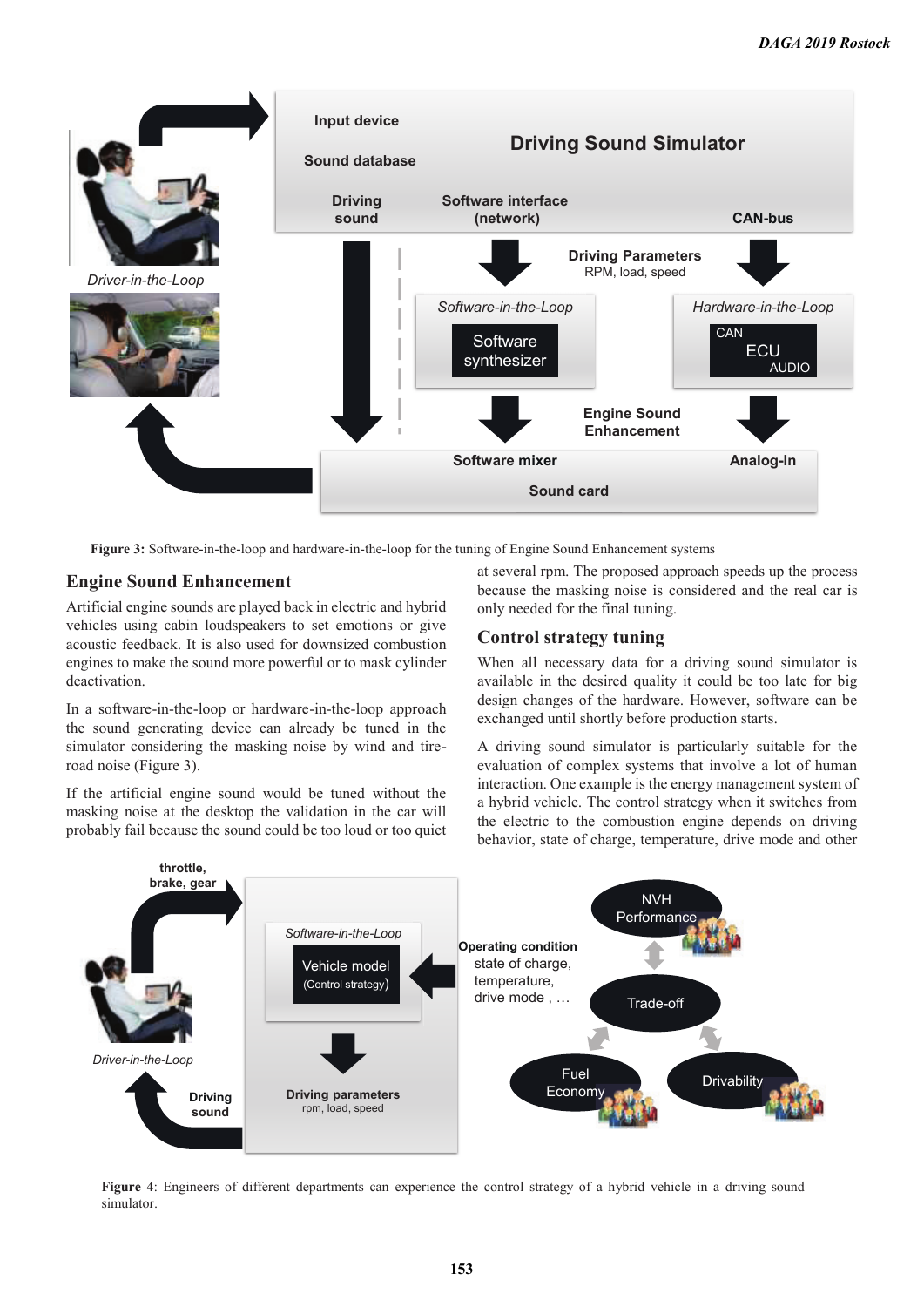

**Figure 3:** Software-in-the-loop and hardware-in-the-loop for the tuning of Engine Sound Enhancement systems

### **Engine Sound Enhancement**

Artificial engine sounds are played back in electric and hybrid vehicles using cabin loudspeakers to set emotions or give acoustic feedback. It is also used for downsized combustion engines to make the sound more powerful or to mask cylinder deactivation.

In a software-in-the-loop or hardware-in-the-loop approach the sound generating device can already be tuned in the simulator considering the masking noise by wind and tireroad noise (Figure 3).

If the artificial engine sound would be tuned without the masking noise at the desktop the validation in the car will probably fail because the sound could be too loud or too quiet at several rpm. The proposed approach speeds up the process because the masking noise is considered and the real car is only needed for the final tuning.

# **Control strategy tuning**

When all necessary data for a driving sound simulator is available in the desired quality it could be too late for big design changes of the hardware. However, software can be exchanged until shortly before production starts.

A driving sound simulator is particularly suitable for the evaluation of complex systems that involve a lot of human interaction. One example is the energy management system of a hybrid vehicle. The control strategy when it switches from the electric to the combustion engine depends on driving behavior, state of charge, temperature, drive mode and other



**Figure 4**: Engineers of different departments can experience the control strategy of a hybrid vehicle in a driving sound simulator.